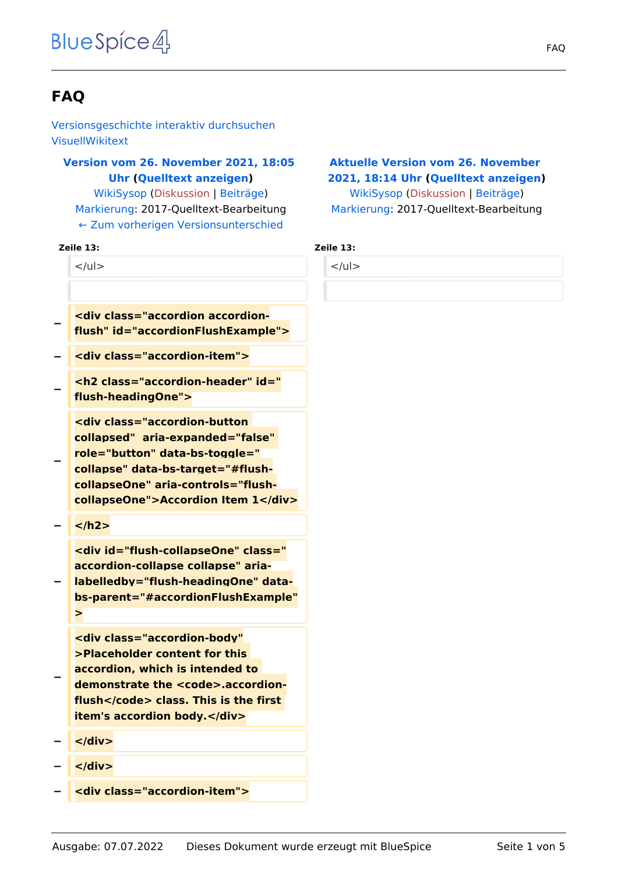# **FAQ**

[Versionsgeschichte interaktiv durchsuchen](https://de.demo.bluespice.com) [VisuellWikitext](https://de.demo.bluespice.com)

# **[Version vom 26. November 2021, 18:05](https://de.demo.bluespice.com/w/index.php?title=FAQ&oldid=1793)  [Uhr](https://de.demo.bluespice.com/w/index.php?title=FAQ&oldid=1793) ([Quelltext anzeigen\)](https://de.demo.bluespice.com/w/index.php?title=FAQ&action=edit&oldid=1793)**

[WikiSysop](https://de.demo.bluespice.com/wiki/Benutzer:WikiSysop) ([Diskussion](https://de.demo.bluespice.com/w/index.php?title=Benutzer_Diskussion:WikiSysop&action=view) | [Beiträge](https://de.demo.bluespice.com/wiki/Spezial:Beitr%C3%A4ge/WikiSysop)) [Markierung](https://de.demo.bluespice.com/wiki/Spezial:Markierungen): 2017-Quelltext-Bearbeitung [← Zum vorherigen Versionsunterschied](https://de.demo.bluespice.com/w/index.php?title=FAQ&diff=prev&oldid=1793)

#### **Zeile 13: Zeile 13:**

 $<$ /ul $>$ 

- **− <div class="accordion accordionflush" id="accordionFlushExample">**
- **− <div class="accordion-item">**

**− <h2 class="accordion-header" id=" flush-headingOne">**

**<div class="accordion-button collapsed" aria-expanded="false" role="button" data-bs-toggle=" collapse" data-bs-target="#flush-**

- **collapseOne" aria-controls="flushcollapseOne">Accordion Item 1</div>**
- **− </h2>**

**−**

**<div id="flush-collapseOne" class=" accordion-collapse collapse" aria-**

**− labelledby="flush-headingOne" databs-parent="#accordionFlushExample" >**

**<div class="accordion-body" >Placeholder content for this accordion, which is intended to**  demonstrate the <code>.accordion**flush</code> class. This is the first item's accordion body.</div>**

**− </div>**

**−**

- **− </div>**
- **− <div class="accordion-item">**

### **[Aktuelle Version vom 26. November](https://de.demo.bluespice.com/w/index.php?title=FAQ&oldid=1794)  [2021, 18:14 Uhr](https://de.demo.bluespice.com/w/index.php?title=FAQ&oldid=1794) ([Quelltext anzeigen](https://de.demo.bluespice.com/w/index.php?title=FAQ&action=edit))** [WikiSysop](https://de.demo.bluespice.com/wiki/Benutzer:WikiSysop) [\(Diskussion](https://de.demo.bluespice.com/w/index.php?title=Benutzer_Diskussion:WikiSysop&action=view) | [Beiträge\)](https://de.demo.bluespice.com/wiki/Spezial:Beitr%C3%A4ge/WikiSysop)

[Markierung:](https://de.demo.bluespice.com/wiki/Spezial:Markierungen) 2017-Quelltext-Bearbeitung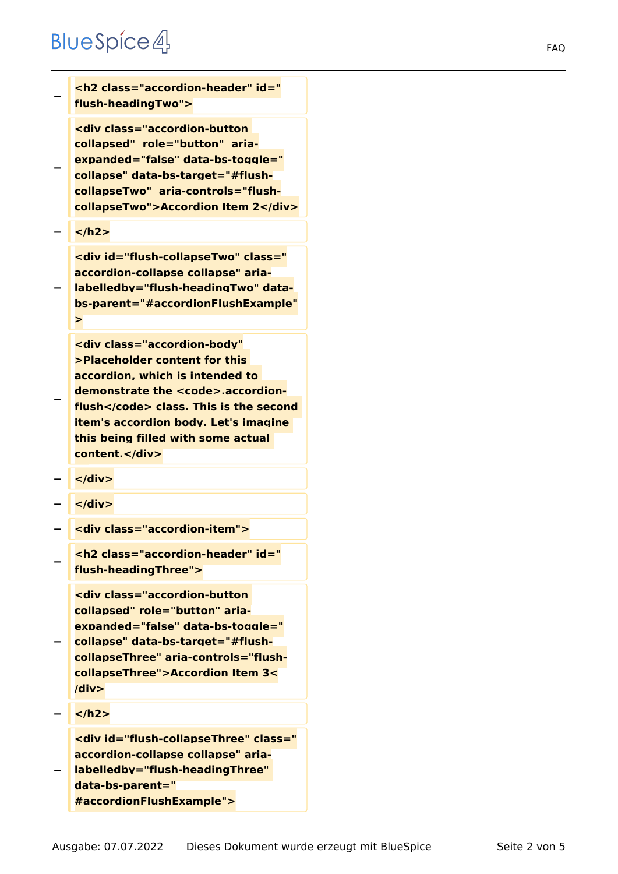# **BlueSpice4**

| <h2 class="accordion-header" id="&lt;br&gt;flush-headingTwo"></h2>                                                                                                                                                                                                                          |
|---------------------------------------------------------------------------------------------------------------------------------------------------------------------------------------------------------------------------------------------------------------------------------------------|
| <div aria-<br="" class="accordion-button&lt;br&gt;collapsed" role="button">expanded="false" data-bs-toggle="<br/>collapse" data-bs-target="#flush-<br/>collapseTwo" aria-controls="flush-<br/>collapseTwo"&gt;Accordion Item 2</div>                                                        |
|                                                                                                                                                                                                                                                                                             |
| <div aria-<br="" class="&lt;br&gt;accordion-collapse collapse" id="flush-collapseTwo">labelledby="flush-headingTwo" data-<br/>bs-parent="#accordionFlushExample"<br/>&gt;</div>                                                                                                             |
| <div <br="" class="accordion-bodv">&gt;Placeholder content for this<br/>accordion, which is intended to<br/>demonstrate the <code>.accordion-<br/>flush</code> class. This is the second<br/>item's accordion body. Let's imagine<br/>this being filled with some actual<br/>content.</div> |
| $<$ /div>                                                                                                                                                                                                                                                                                   |
| $<$ /div>                                                                                                                                                                                                                                                                                   |
| <div class="accordion-item"></div>                                                                                                                                                                                                                                                          |
| <h2 class="accordion-header" id="&lt;br&gt;flush-headingThree"></h2>                                                                                                                                                                                                                        |
| <div aria-<br="" class="accordion-button&lt;br&gt;collapsed" role="button">expanded="false" data-bs-toggle="<br/>collapse" data-bs-target="#flush-<br/>collapseThree" aria-controls="flush-<br/>collapseThree"&gt;Accordion Item 3&lt;<br/>div</div>                                        |

**− </h2>**

**<div id="flush-collapseThree" class=" accordion-collapse collapse" aria-**

**− labelledby="flush-headingThree" data-bs-parent=" #accordionFlushExample">**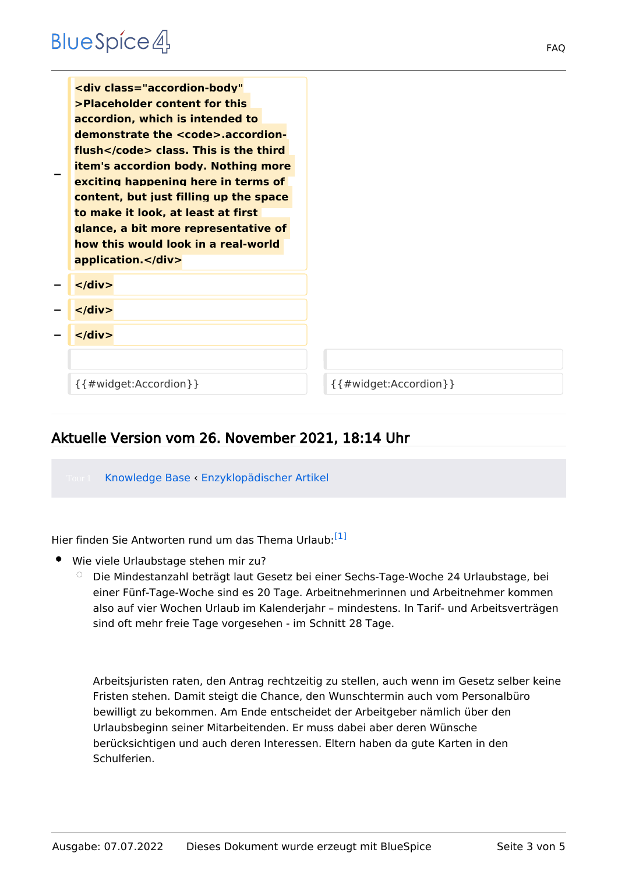| <div <br="" class="accordion-body">&gt;Placeholder content for this<br/>accordion, which is intended to<br/>demonstrate the <code>.accordion-<br/>flush</code> class. This is the third<br/><b>item's accordion body. Nothing more</b><br/>exciting happening here in terms of<br/>content, but just filling up the space<br/>to make it look, at least at first<br/>glance, a bit more representative of<br/>how this would look in a real-world<br/>application.</div> |                                |
|--------------------------------------------------------------------------------------------------------------------------------------------------------------------------------------------------------------------------------------------------------------------------------------------------------------------------------------------------------------------------------------------------------------------------------------------------------------------------|--------------------------------|
| $\langle$ div $\rangle$                                                                                                                                                                                                                                                                                                                                                                                                                                                  |                                |
| $\langle$ /div $\rangle$                                                                                                                                                                                                                                                                                                                                                                                                                                                 |                                |
| $\langle$ div $\rangle$                                                                                                                                                                                                                                                                                                                                                                                                                                                  |                                |
|                                                                                                                                                                                                                                                                                                                                                                                                                                                                          |                                |
| $\{$ { # widget: Accordion } }                                                                                                                                                                                                                                                                                                                                                                                                                                           | $\{$ { # widget: Accordion } } |

# Aktuelle Version vom 26. November 2021, 18:14 Uhr

Knowledge Base ‹ [Enzyklopädischer Artikel](https://de.demo.bluespice.com/wiki/Regensburg)

<span id="page-2-0"></span>Hier finden Sie Antworten rund um das Thema Urlaub:<sup>[\[1\]](#page-4-0)</sup>

- Wie viele Urlaubstage stehen mir zu?
	- $\circ$  Die Mindestanzahl beträgt laut Gesetz bei einer Sechs-Tage-Woche 24 Urlaubstage, bei einer Fünf-Tage-Woche sind es 20 Tage. Arbeitnehmerinnen und Arbeitnehmer kommen also auf vier Wochen Urlaub im Kalenderjahr – mindestens. In Tarif- und Arbeitsverträgen sind oft mehr freie Tage vorgesehen - im Schnitt 28 Tage.

Arbeitsjuristen raten, den Antrag rechtzeitig zu stellen, auch wenn im Gesetz selber keine Fristen stehen. Damit steigt die Chance, den Wunschtermin auch vom Personalbüro bewilligt zu bekommen. Am Ende entscheidet der Arbeitgeber nämlich über den Urlaubsbeginn seiner Mitarbeitenden. Er muss dabei aber deren Wünsche berücksichtigen und auch deren Interessen. Eltern haben da gute Karten in den Schulferien.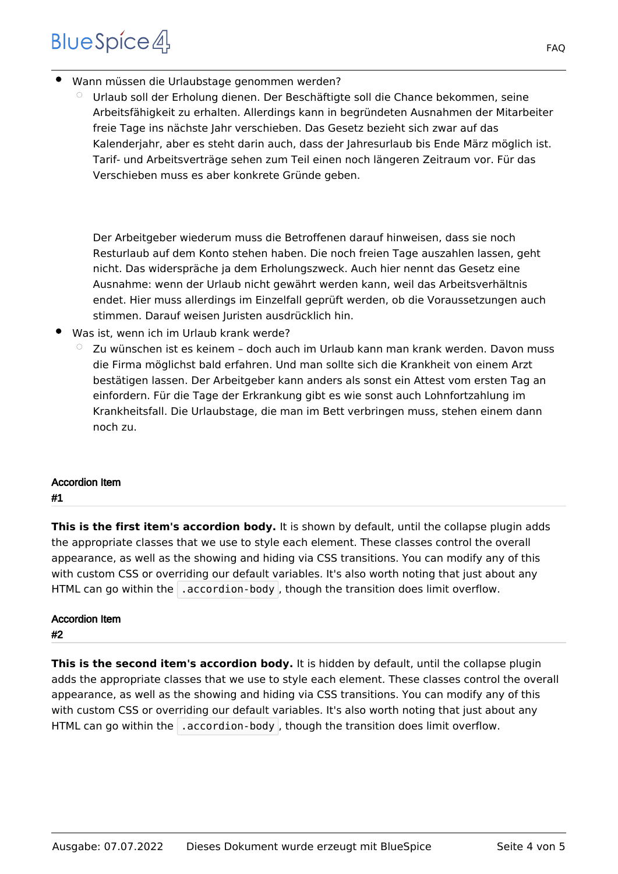# **BlueSpice4**

- Wann müssen die Urlaubstage genommen werden?
	- $\circ$  Urlaub soll der Erholung dienen. Der Beschäftigte soll die Chance bekommen, seine Arbeitsfähigkeit zu erhalten. Allerdings kann in begründeten Ausnahmen der Mitarbeiter freie Tage ins nächste Jahr verschieben. Das Gesetz bezieht sich zwar auf das Kalenderjahr, aber es steht darin auch, dass der Jahresurlaub bis Ende März möglich ist. Tarif- und Arbeitsverträge sehen zum Teil einen noch längeren Zeitraum vor. Für das Verschieben muss es aber konkrete Gründe geben.

Der Arbeitgeber wiederum muss die Betroffenen darauf hinweisen, dass sie noch Resturlaub auf dem Konto stehen haben. Die noch freien Tage auszahlen lassen, geht nicht. Das widerspräche ja dem Erholungszweck. Auch hier nennt das Gesetz eine Ausnahme: wenn der Urlaub nicht gewährt werden kann, weil das Arbeitsverhältnis endet. Hier muss allerdings im Einzelfall geprüft werden, ob die Voraussetzungen auch stimmen. Darauf weisen Juristen ausdrücklich hin.

- Was ist, wenn ich im Urlaub krank werde?
	- $\degree$  Zu wünschen ist es keinem doch auch im Urlaub kann man krank werden. Davon muss die Firma möglichst bald erfahren. Und man sollte sich die Krankheit von einem Arzt bestätigen lassen. Der Arbeitgeber kann anders als sonst ein Attest vom ersten Tag an einfordern. Für die Tage der Erkrankung gibt es wie sonst auch Lohnfortzahlung im Krankheitsfall. Die Urlaubstage, die man im Bett verbringen muss, stehen einem dann noch zu.

# Accordion Item

### #1

**This is the first item's accordion body.** It is shown by default, until the collapse plugin adds the appropriate classes that we use to style each element. These classes control the overall appearance, as well as the showing and hiding via CSS transitions. You can modify any of this with custom CSS or overriding our default variables. It's also worth noting that just about any HTML can go within the  $\vert$  accordion-body , though the transition does limit overflow.

# Accordion Item

### #2

This is the second item's accordion body. It is hidden by default, until the collapse plugin adds the appropriate classes that we use to style each element. These classes control the overall appearance, as well as the showing and hiding via CSS transitions. You can modify any of this with custom CSS or overriding our default variables. It's also worth noting that just about any HTML can go within the  $\vert$  accordion-body , though the transition does limit overflow.